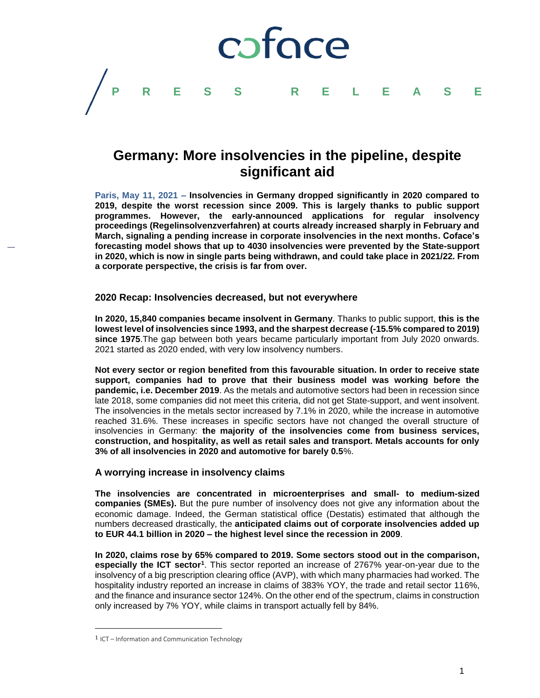

# **Germany: More insolvencies in the pipeline, despite significant aid**

**Paris, May 11, 2021 – Insolvencies in Germany dropped significantly in 2020 compared to 2019, despite the worst recession since 2009. This is largely thanks to public support programmes. However, the early-announced applications for regular insolvency proceedings (Regelinsolvenzverfahren) at courts already increased sharply in February and March, signaling a pending increase in corporate insolvencies in the next months. Coface's forecasting model shows that up to 4030 insolvencies were prevented by the State-support in 2020, which is now in single parts being withdrawn, and could take place in 2021/22. From a corporate perspective, the crisis is far from over.**

## **2020 Recap: Insolvencies decreased, but not everywhere**

**In 2020, 15,840 companies became insolvent in Germany**. Thanks to public support, **this is the lowest level of insolvencies since 1993, and the sharpest decrease (-15.5% compared to 2019) since 1975**.The gap between both years became particularly important from July 2020 onwards. 2021 started as 2020 ended, with very low insolvency numbers.

**Not every sector or region benefited from this favourable situation. In order to receive state support, companies had to prove that their business model was working before the pandemic, i.e. December 2019**. As the metals and automotive sectors had been in recession since late 2018, some companies did not meet this criteria, did not get State-support, and went insolvent. The insolvencies in the metals sector increased by 7.1% in 2020, while the increase in automotive reached 31.6%. These increases in specific sectors have not changed the overall structure of insolvencies in Germany: **the majority of the insolvencies come from business services, construction, and hospitality, as well as retail sales and transport. Metals accounts for only 3% of all insolvencies in 2020 and automotive for barely 0.5**%.

## **A worrying increase in insolvency claims**

**The insolvencies are concentrated in microenterprises and small- to medium-sized companies (SMEs).** But the pure number of insolvency does not give any information about the economic damage. Indeed, the German statistical office (Destatis) estimated that although the numbers decreased drastically, the **anticipated claims out of corporate insolvencies added up to EUR 44.1 billion in 2020 – the highest level since the recession in 2009**.

**In 2020, claims rose by 65% compared to 2019. Some sectors stood out in the comparison,**  especially the ICT sector<sup>1</sup>. This sector reported an increase of 2767% year-on-year due to the insolvency of a big prescription clearing office (AVP), with which many pharmacies had worked. The hospitality industry reported an increase in claims of 383% YOY, the trade and retail sector 116%, and the finance and insurance sector 124%. On the other end of the spectrum, claims in construction only increased by 7% YOY, while claims in transport actually fell by 84%.

l

<sup>1</sup> ICT – Information and Communication Technology